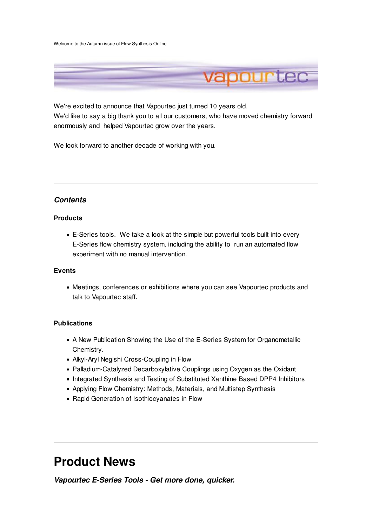Welcome to the Autumn issue of Flow Synthesis Online



We're excited to announce that Vapourtec just turned 10 years old. We'd like to say a big thank you to all our customers, who have moved chemistry forward enormously and helped Vapourtec grow over the years.

We look forward to another decade of working with you.

# **Contents**

### **Products**

E-Series tools. We take a look at the simple but powerful tools built into every E-Series flow chemistry system, including the ability to run an automated flow experiment with no manual intervention.

## **Events**

Meetings, conferences or exhibitions where you can see Vapourtec products and talk to Vapourtec staff.

## **Publications**

- A New Publication Showing the Use of the E-Series System for Organometallic Chemistry.
- Alkyl-Aryl Negishi Cross-Coupling in Flow
- Palladium-Catalyzed Decarboxylative Couplings using Oxygen as the Oxidant
- Integrated Synthesis and Testing of Substituted Xanthine Based DPP4 Inhibitors
- Applying Flow Chemistry: Methods, Materials, and Multistep Synthesis
- Rapid Generation of Isothiocyanates in Flow

# **Product News**

**Vapourtec E-Series Tools - Get more done, quicker.**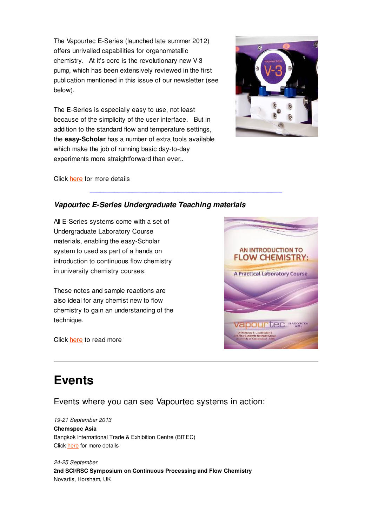The Vapourtec E-Series (launched late summer 2012) offers unrivalled capabilities for organometallic chemistry. At it's core is the revolutionary new V-3 pump, which has been extensively reviewed in the first publication mentioned in this issue of our newsletter (see below).

The E-Series is especially easy to use, not least because of the simplicity of the user interface. But in addition to the standard flow and temperature settings, the **easy-Scholar** has a number of extra tools available which make the job of running basic day-to-day experiments more straightforward than ever..



Click here for more details

## **Vapourtec E-Series Undergraduate Teaching materials**

All E-Series systems come with a set of Undergraduate Laboratory Course materials, enabling the easy-Scholar system to used as part of a hands on introduction to continuous flow chemistry in university chemistry courses.

These notes and sample reactions are also ideal for any chemist new to flow chemistry to gain an understanding of the technique.

Click here to read more



# **Events**

Events where you can see Vapourtec systems in action:

19-21 September 2013

#### **Chemspec Asia**

Bangkok International Trade & Exhibition Centre (BITEC) Click here for more details

24-25 September **2nd SCI/RSC Symposium on Continuous Processing and Flow Chemistry** Novartis, Horsham, UK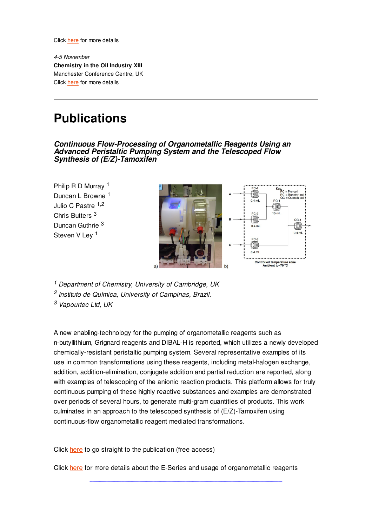Click here for more details

4-5 November **Chemistry in the Oil Industry XIII** Manchester Conference Centre, UK Click here for more details

# **Publications**

**Continuous Flow-Processing of Organometallic Reagents Using an Advanced Peristaltic Pumping System and the Telescoped Flow Synthesis of (E/Z)-Tamoxifen**

Philip R D Murray <sup>1</sup> Duncan L Browne <sup>1</sup> Julio C Pastre 1,2 Chris Butters <sup>3</sup> Duncan Guthrie <sup>3</sup> Steven V Lev<sup>1</sup>



<sup>1</sup> Department of Chemistry, University of Cambridge, UK

<sup>2</sup> Instituto de Química, University of Campinas, Brazil.

<sup>3</sup> Vapourtec Ltd, UK

A new enabling-technology for the pumping of organometallic reagents such as n-butyllithium, Grignard reagents and DIBAL-H is reported, which utilizes a newly developed chemically-resistant peristaltic pumping system. Several representative examples of its use in common transformations using these reagents, including metal-halogen exchange, addition, addition-elimination, conjugate addition and partial reduction are reported, along with examples of telescoping of the anionic reaction products. This platform allows for truly continuous pumping of these highly reactive substances and examples are demonstrated over periods of several hours, to generate multi-gram quantities of products. This work culminates in an approach to the telescoped synthesis of (E/Z)-Tamoxifen using continuous-flow organometallic reagent mediated transformations.

Click here to go straight to the publication (free access)

Click here for more details about the E-Series and usage of organometallic reagents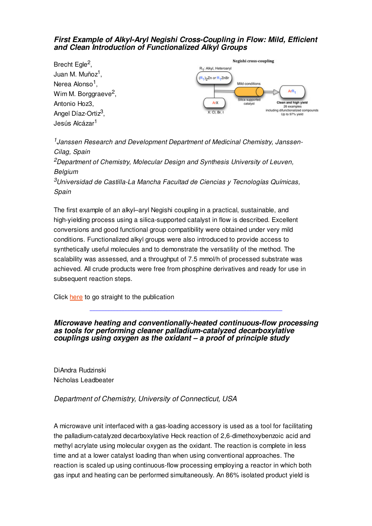## **First Example of Alkyl-Aryl Negishi Cross-Coupling in Flow: Mild, Efficient and Clean Introduction of Functionalized Alkyl Groups**



<sup>1</sup> Janssen Research and Development Department of Medicinal Chemistry, Janssen-Cilag, Spain

 $2$ Department of Chemistry, Molecular Design and Synthesis University of Leuven, **Belgium** 

 $3$ Universidad de Castilla-La Mancha Facultad de Ciencias y Tecnologías Químicas, Spain

The first example of an alkyl–aryl Negishi coupling in a practical, sustainable, and high-yielding process using a silica-supported catalyst in flow is described. Excellent conversions and good functional group compatibility were obtained under very mild conditions. Functionalized alkyl groups were also introduced to provide access to synthetically useful molecules and to demonstrate the versatility of the method. The scalability was assessed, and a throughput of 7.5 mmol/h of processed substrate was achieved. All crude products were free from phosphine derivatives and ready for use in subsequent reaction steps.

Click here to go straight to the publication

## **Microwave heating and conventionally-heated continuous-flow processing as tools for performing cleaner palladium-catalyzed decarboxylative couplings using oxygen as the oxidant – a proof of principle study**

DiAndra Rudzinski Nicholas Leadbeater

## Department of Chemistry, University of Connecticut, USA

A microwave unit interfaced with a gas-loading accessory is used as a tool for facilitating the palladium-catalyzed decarboxylative Heck reaction of 2,6-dimethoxybenzoic acid and methyl acrylate using molecular oxygen as the oxidant. The reaction is complete in less time and at a lower catalyst loading than when using conventional approaches. The reaction is scaled up using continuous-flow processing employing a reactor in which both gas input and heating can be performed simultaneously. An 86% isolated product yield is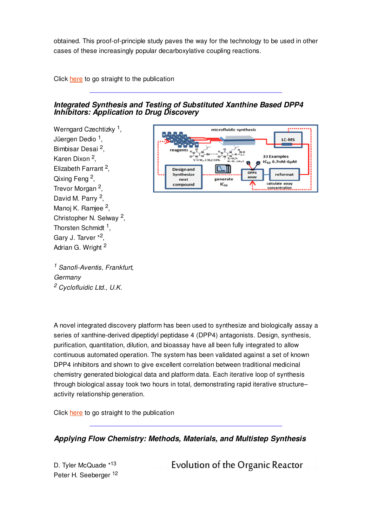obtained. This proof-of-principle study paves the way for the technology to be used in other cases of these increasingly popular decarboxylative coupling reactions.

Click here to go straight to the publication

## **Integrated Synthesis and Testing of Substituted Xanthine Based DPP4 Inhibitors: Application to Drug Discovery**

Werngard Czechtizky<sup>1</sup>, Jüergen Dedio <sup>1</sup>, Bimbisar Desai <sup>2</sup>, Karen Dixon <sup>2</sup>, Elizabeth Farrant <sup>2</sup>, Qixing Feng<sup>2</sup>, Trevor Morgan <sup>2</sup>, David M. Parry <sup>2</sup>, Manoj K. Ramjee <sup>2</sup>, Christopher N. Selway<sup>2</sup>, Thorsten Schmidt<sup>1</sup>, Gary J. Tarver \*<sup>2</sup>, Adrian G. Wright <sup>2</sup>



<sup>1</sup> Sanofi-Aventis, Frankfurt, **Germany** <sup>2</sup> Cyclofluidic Ltd., U.K.

A novel integrated discovery platform has been used to synthesize and biologically assay a series of xanthine-derived dipeptidyl peptidase 4 (DPP4) antagonists. Design, synthesis, purification, quantitation, dilution, and bioassay have all been fully integrated to allow continuous automated operation. The system has been validated against a set of known DPP4 inhibitors and shown to give excellent correlation between traditional medicinal chemistry generated biological data and platform data. Each iterative loop of synthesis through biological assay took two hours in total, demonstrating rapid iterative structure– activity relationship generation.

Click here to go straight to the publication

**Applying Flow Chemistry: Methods, Materials, and Multistep Synthesis**

D. Tyler McQuade \*13 Peter H. Seeberger <sup>12</sup> Evolution of the Organic Reactor